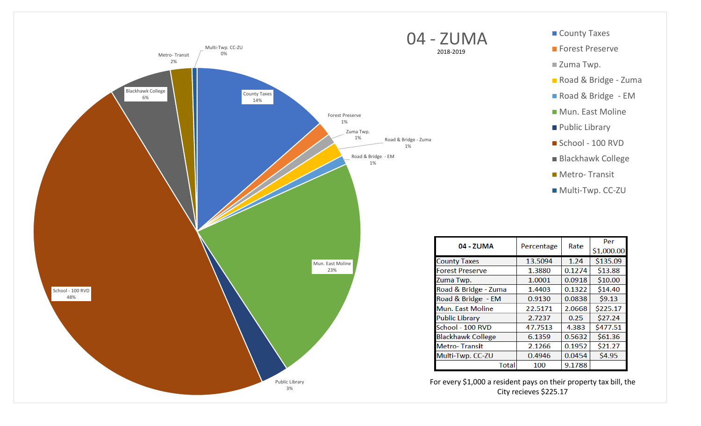

**Forest Preserve** 

■ Zuma Twp.

- Road & Bridge Zuma
- Road & Bridge EM
- **Mun. East Moline**
- **Public Library**
- School 100 RVD
- Blackhawk College
- **Metro-Transit**
- Multi-Twp. CC-ZU

| 04 - ZUMA                | Percentage | Rate   | Per        |
|--------------------------|------------|--------|------------|
|                          |            |        | \$1,000.00 |
| <b>County Taxes</b>      | 13.5094    | 1.24   | \$135.09   |
| <b>Forest Preserve</b>   | 1.3880     | 0.1274 | \$13.88    |
| Zuma Twp.                | 1.0001     | 0.0918 | \$10.00    |
| Road & Bridge - Zuma     | 1.4403     | 0.1322 | \$14.40    |
| Road & Bridge - EM       | 0.9130     | 0.0838 | \$9.13     |
| <b>Mun. East Moline</b>  | 22.5171    | 2.0668 | \$225.17   |
| <b>Public Library</b>    | 2.7237     | 0.25   | \$27.24    |
| School - 100 RVD         | 47.7513    | 4.383  | \$477.51   |
| <b>Blackhawk College</b> | 6.1359     | 0.5632 | \$61.36    |
| <b>Metro-Transit</b>     | 2.1266     | 0.1952 | \$21.27    |
| Multi-Twp. CC-ZU         | 0.4946     | 0.0454 | \$4.95     |
| Total                    | 100        | 9.1788 |            |

For every \$1,000 a resident pays on their property tax bill, the City recieves \$225.17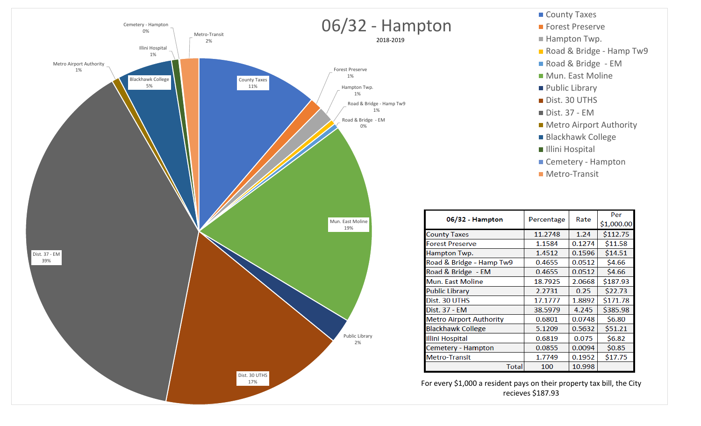

County Taxes **Forest Preserve** Hampton Twp. Road & Bridge - Hamp Tw9 Road & Bridge - EM **Mun. East Moline Public Library** Dist. 30 UTHS ■ Dist. 37 - EM **Metro Airport Authority** Blackhawk College Illini Hospital Cemetery - Hampton **Metro-Transit** 

| 06/32 - Hampton                |            | Rate   | Per        |
|--------------------------------|------------|--------|------------|
|                                | Percentage |        | \$1,000.00 |
| <b>County Taxes</b>            | 11.2748    | 1.24   | \$112.75   |
| <b>Forest Preserve</b>         | 1.1584     | 0.1274 | \$11.58    |
| Hampton Twp.                   | 1.4512     | 0.1596 | \$14.51    |
| Road & Bridge - Hamp Tw9       | 0.4655     | 0.0512 | \$4.66     |
| Road & Bridge - EM             | 0.4655     | 0.0512 | \$4.66     |
| <b>Mun. East Moline</b>        | 18.7925    | 2.0668 | \$187.93   |
| <b>Public Library</b>          | 2.2731     | 0.25   | \$22.73    |
| Dist. 30 UTHS                  | 17.1777    | 1.8892 | \$171.78   |
| Dist. 37 - EM                  | 38.5979    | 4.245  | \$385.98   |
| <b>Metro Airport Authority</b> | 0.6801     | 0.0748 | \$6.80     |
| <b>Blackhawk College</b>       | 5.1209     | 0.5632 | \$51.21    |
| <b>Illini Hospital</b>         | 0.6819     | 0.075  | \$6.82     |
| Cemetery - Hampton             | 0.0855     | 0.0094 | \$0.85     |
| <b>Metro-Transit</b>           | 1.7749     | 0.1952 | \$17.75    |
| Total                          | 100        | 10.998 |            |

For every \$1,000 a resident pays on their property tax bill, the City recieves \$187.93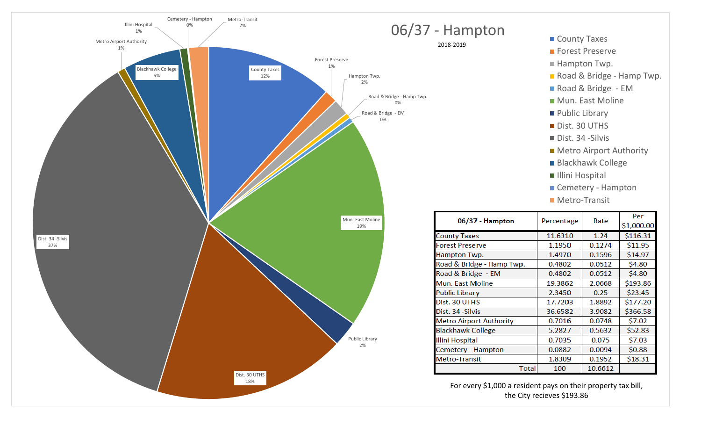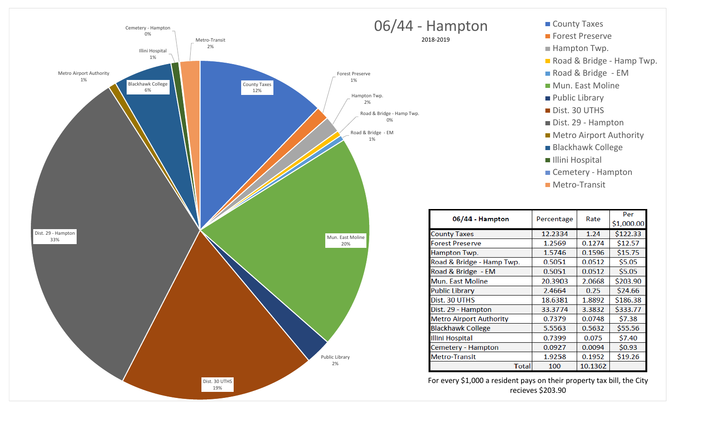

- **Forest Preserve**
- Hampton Twp.
- Road & Bridge Hamp Twp.
- Road & Bridge EM
- **Mun. East Moline**
- **Public Library**
- Dist. 30 UTHS
- Dist. 29 Hampton
- Metro Airport Authority
- Blackhawk College
- Illini Hospital
- Cemetery Hampton
- **Metro-Transit**

| 06/44 - Hampton                | Percentage | Rate    | Per<br>\$1,000.00 |
|--------------------------------|------------|---------|-------------------|
| <b>County Taxes</b>            | 12.2334    | 1.24    | \$122.33          |
| <b>Forest Preserve</b>         | 1.2569     | 0.1274  | \$12.57           |
| Hampton Twp.                   | 1.5746     | 0.1596  | \$15.75           |
| Road & Bridge - Hamp Twp.      | 0.5051     | 0.0512  | \$5.05            |
| Road & Bridge - EM             | 0.5051     | 0.0512  | \$5.05            |
| Mun. East Moline               | 20.3903    | 2.0668  | \$203.90          |
| <b>Public Library</b>          | 2.4664     | 0.25    | \$24.66           |
| Dist. 30 UTHS                  | 18.6381    | 1.8892  | \$186.38          |
| Dist. 29 - Hampton             | 33.3774    | 3.3832  | \$333.77          |
| <b>Metro Airport Authority</b> | 0.7379     | 0.0748  | \$7.38            |
| <b>Blackhawk College</b>       | 5.5563     | 0.5632  | \$55.56           |
| Illini Hospital                | 0.7399     | 0.075   | \$7.40            |
| Cemetery - Hampton             | 0.0927     | 0.0094  | \$0.93            |
| <b>Metro-Transit</b>           | 1.9258     | 0.1952  | \$19.26           |
| Total                          | 100        | 10.1362 |                   |

For every \$1,000 a resident pays on their property tax bill, the City recieves \$203.90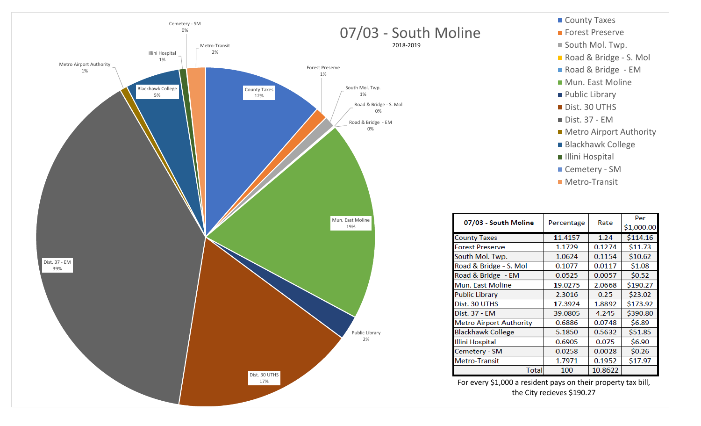

Per

\$114.16

 $$11.73$  $$10.62$ 

 $$1.08$ 

 $$0.52$ 

\$23.02

\$390.80

\$6.89

\$51.85

\$6.90

 $$0.26$ 

\$17.97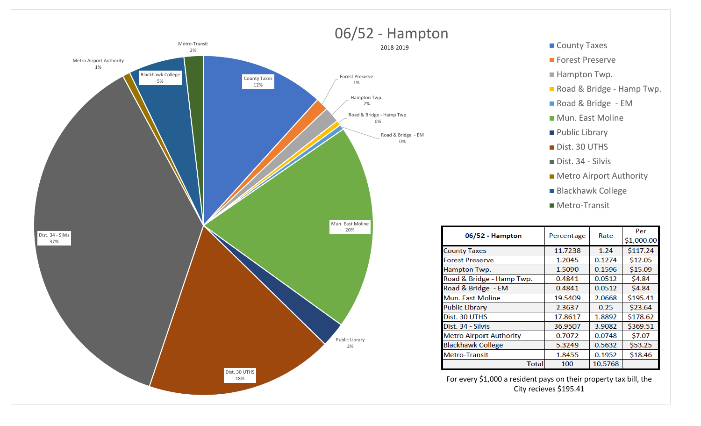

## ■ County Taxes

- **Forest Preserve**
- Hampton Twp.
- Road & Bridge Hamp Twp.
- Road & Bridge EM
- **Mun. East Moline**
- **Public Library**
- Dist. 30 UTHS
- Dist. 34 Silvis
- Metro Airport Authority
- Blackhawk College
- Metro-Transit

| 06/52 - Hampton                | Percentage | Rate    | Per<br>\$1,000.00 |
|--------------------------------|------------|---------|-------------------|
| <b>County Taxes</b>            | 11.7238    | 1.24    | \$117.24          |
| <b>Forest Preserve</b>         | 1.2045     | 0.1274  | \$12.05           |
| Hampton Twp.                   | 1.5090     | 0.1596  | \$15.09           |
| Road & Bridge - Hamp Twp.      | 0.4841     | 0.0512  | \$4.84            |
| Road & Bridge - EM             | 0.4841     | 0.0512  | \$4.84            |
| <b>Mun. East Moline</b>        | 19.5409    | 2.0668  | \$195.41          |
| <b>Public Library</b>          | 2.3637     | 0.25    | \$23.64           |
| Dist. 30 UTHS                  | 17.8617    | 1.8892  | \$178.62          |
| Dist. 34 - Silvis              | 36.9507    | 3.9082  | \$369.51          |
| <b>Metro Airport Authority</b> | 0.7072     | 0.0748  | \$7.07            |
| <b>Blackhawk College</b>       | 5.3249     | 0.5632  | \$53.25           |
| <b>Metro-Transit</b>           | 1.8455     | 0.1952  | \$18.46           |
| <b>Total</b>                   | 100        | 10.5768 |                   |

For every \$1,000 a resident pays on their property tax bill, the City recieves \$195.41